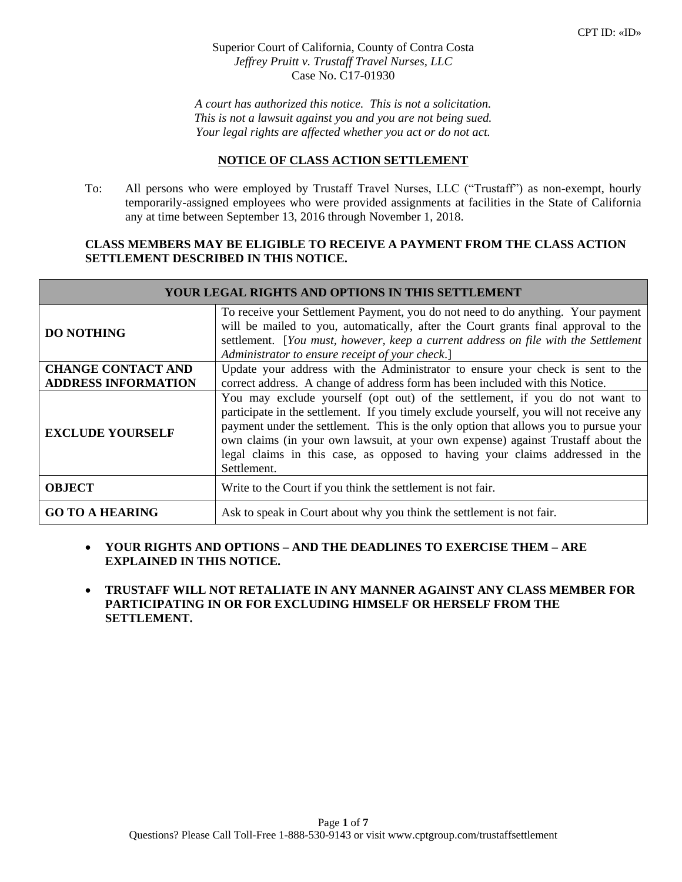Superior Court of California, County of Contra Costa *Jeffrey Pruitt v. Trustaff Travel Nurses, LLC* Case No. C17-01930

*A court has authorized this notice. This is not a solicitation. This is not a lawsuit against you and you are not being sued. Your legal rights are affected whether you act or do not act.*

## **NOTICE OF CLASS ACTION SETTLEMENT**

To: All persons who were employed by Trustaff Travel Nurses, LLC ("Trustaff") as non-exempt, hourly temporarily-assigned employees who were provided assignments at facilities in the State of California any at time between September 13, 2016 through November 1, 2018.

## **CLASS MEMBERS MAY BE ELIGIBLE TO RECEIVE A PAYMENT FROM THE CLASS ACTION SETTLEMENT DESCRIBED IN THIS NOTICE.**

| YOUR LEGAL RIGHTS AND OPTIONS IN THIS SETTLEMENT        |                                                                                                                                                                                                                                                                                                                                                                                                                                                   |  |
|---------------------------------------------------------|---------------------------------------------------------------------------------------------------------------------------------------------------------------------------------------------------------------------------------------------------------------------------------------------------------------------------------------------------------------------------------------------------------------------------------------------------|--|
| <b>DO NOTHING</b>                                       | To receive your Settlement Payment, you do not need to do anything. Your payment<br>will be mailed to you, automatically, after the Court grants final approval to the<br>settlement. [You must, however, keep a current address on file with the Settlement<br>Administrator to ensure receipt of your check.]                                                                                                                                   |  |
| <b>CHANGE CONTACT AND</b><br><b>ADDRESS INFORMATION</b> | Update your address with the Administrator to ensure your check is sent to the<br>correct address. A change of address form has been included with this Notice.                                                                                                                                                                                                                                                                                   |  |
| <b>EXCLUDE YOURSELF</b>                                 | You may exclude yourself (opt out) of the settlement, if you do not want to<br>participate in the settlement. If you timely exclude yourself, you will not receive any<br>payment under the settlement. This is the only option that allows you to pursue your<br>own claims (in your own lawsuit, at your own expense) against Trustaff about the<br>legal claims in this case, as opposed to having your claims addressed in the<br>Settlement. |  |
| <b>OBJECT</b>                                           | Write to the Court if you think the settlement is not fair.                                                                                                                                                                                                                                                                                                                                                                                       |  |
| <b>GO TO A HEARING</b>                                  | Ask to speak in Court about why you think the settlement is not fair.                                                                                                                                                                                                                                                                                                                                                                             |  |

- **YOUR RIGHTS AND OPTIONS – AND THE DEADLINES TO EXERCISE THEM – ARE EXPLAINED IN THIS NOTICE.**
- **TRUSTAFF WILL NOT RETALIATE IN ANY MANNER AGAINST ANY CLASS MEMBER FOR PARTICIPATING IN OR FOR EXCLUDING HIMSELF OR HERSELF FROM THE SETTLEMENT.**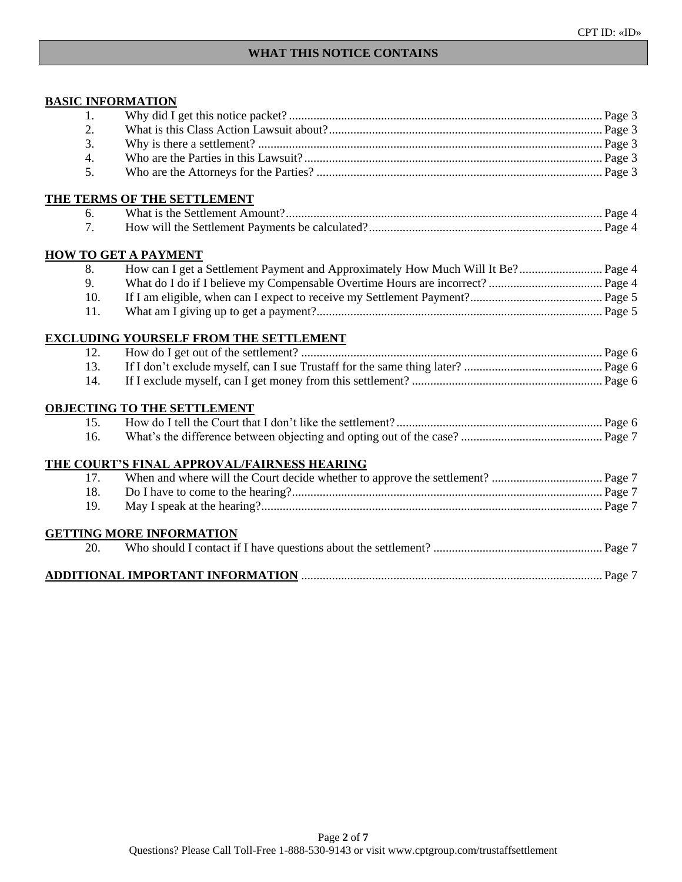# **WHAT THIS NOTICE CONTAINS**

# **BASIC INFORMATION**

| 1.  |                                               |  |
|-----|-----------------------------------------------|--|
| 2.  |                                               |  |
| 3.  |                                               |  |
| 4.  |                                               |  |
| 5.  |                                               |  |
|     | THE TERMS OF THE SETTLEMENT                   |  |
| 6.  |                                               |  |
| 7.  |                                               |  |
|     | <b>HOW TO GET A PAYMENT</b>                   |  |
| 8.  |                                               |  |
| 9.  |                                               |  |
| 10. |                                               |  |
| 11. |                                               |  |
|     | <b>EXCLUDING YOURSELF FROM THE SETTLEMENT</b> |  |
| 12. |                                               |  |
| 13. |                                               |  |
| 14. |                                               |  |
|     | <b>OBJECTING TO THE SETTLEMENT</b>            |  |
| 15. |                                               |  |
| 16. |                                               |  |
|     | THE COURT'S FINAL APPROVAL/FAIRNESS HEARING   |  |
| 17. |                                               |  |
| 18. |                                               |  |
| 19. |                                               |  |
|     | <b>GETTING MORE INFORMATION</b>               |  |
| 20. |                                               |  |
|     |                                               |  |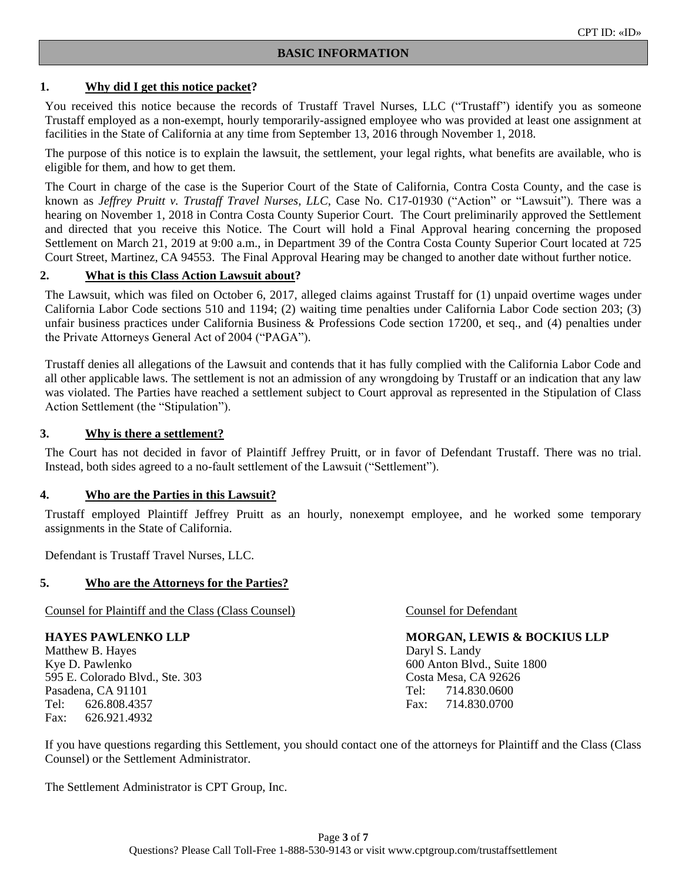## **1. Why did I get this notice packet?**

You received this notice because the records of Trustaff Travel Nurses, LLC ("Trustaff") identify you as someone Trustaff employed as a non-exempt, hourly temporarily-assigned employee who was provided at least one assignment at facilities in the State of California at any time from September 13, 2016 through November 1, 2018.

The purpose of this notice is to explain the lawsuit, the settlement, your legal rights, what benefits are available, who is eligible for them, and how to get them.

The Court in charge of the case is the Superior Court of the State of California, Contra Costa County, and the case is known as *Jeffrey Pruitt v. Trustaff Travel Nurses, LLC*, Case No. C17-01930 ("Action" or "Lawsuit"). There was a hearing on November 1, 2018 in Contra Costa County Superior Court. The Court preliminarily approved the Settlement and directed that you receive this Notice. The Court will hold a Final Approval hearing concerning the proposed Settlement on March 21, 2019 at 9:00 a.m., in Department 39 of the Contra Costa County Superior Court located at 725 Court Street, Martinez, CA 94553. The Final Approval Hearing may be changed to another date without further notice.

#### **2. What is this Class Action Lawsuit about?**

The Lawsuit, which was filed on October 6, 2017, alleged claims against Trustaff for (1) unpaid overtime wages under California Labor Code sections 510 and 1194; (2) waiting time penalties under California Labor Code section 203; (3) unfair business practices under California Business & Professions Code section 17200, et seq., and (4) penalties under the Private Attorneys General Act of 2004 ("PAGA").

Trustaff denies all allegations of the Lawsuit and contends that it has fully complied with the California Labor Code and all other applicable laws. The settlement is not an admission of any wrongdoing by Trustaff or an indication that any law was violated. The Parties have reached a settlement subject to Court approval as represented in the Stipulation of Class Action Settlement (the "Stipulation").

#### **3. Why is there a settlement?**

The Court has not decided in favor of Plaintiff Jeffrey Pruitt, or in favor of Defendant Trustaff. There was no trial. Instead, both sides agreed to a no-fault settlement of the Lawsuit ("Settlement").

#### **4. Who are the Parties in this Lawsuit?**

Trustaff employed Plaintiff Jeffrey Pruitt as an hourly, nonexempt employee, and he worked some temporary assignments in the State of California.

Defendant is Trustaff Travel Nurses, LLC.

#### **5. Who are the Attorneys for the Parties?**

Counsel for Plaintiff and the Class (Class Counsel) Counsel for Defendant

Matthew B. Hayes Daryl S. Landy Kye D. Pawlenko 600 Anton Blvd., Suite 1800 595 E. Colorado Blvd., Ste. 303 Costa Mesa, CA 92626 Pasadena, CA 91101 Tel: 714.830.0600 Tel: 626.808.4357 Fax: 714.830.0700 Fax: 626.921.4932

**HAYES PAWLENKO LLP MORGAN, LEWIS & BOCKIUS LLP** 

If you have questions regarding this Settlement, you should contact one of the attorneys for Plaintiff and the Class (Class Counsel) or the Settlement Administrator.

The Settlement Administrator is CPT Group, Inc.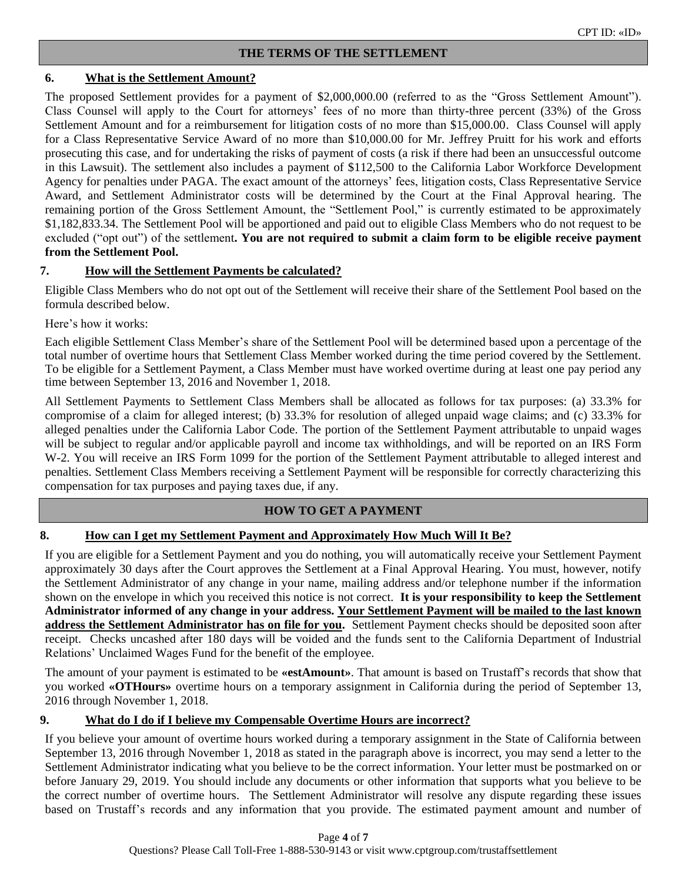## **6. What is the Settlement Amount?**

The proposed Settlement provides for a payment of \$2,000,000.00 (referred to as the "Gross Settlement Amount"). Class Counsel will apply to the Court for attorneys' fees of no more than thirty-three percent (33%) of the Gross Settlement Amount and for a reimbursement for litigation costs of no more than \$15,000.00. Class Counsel will apply for a Class Representative Service Award of no more than \$10,000.00 for Mr. Jeffrey Pruitt for his work and efforts prosecuting this case, and for undertaking the risks of payment of costs (a risk if there had been an unsuccessful outcome in this Lawsuit). The settlement also includes a payment of \$112,500 to the California Labor Workforce Development Agency for penalties under PAGA. The exact amount of the attorneys' fees, litigation costs, Class Representative Service Award, and Settlement Administrator costs will be determined by the Court at the Final Approval hearing. The remaining portion of the Gross Settlement Amount, the "Settlement Pool," is currently estimated to be approximately \$1,182,833.34. The Settlement Pool will be apportioned and paid out to eligible Class Members who do not request to be excluded ("opt out") of the settlement**. You are not required to submit a claim form to be eligible receive payment from the Settlement Pool.** 

## **7. How will the Settlement Payments be calculated?**

Eligible Class Members who do not opt out of the Settlement will receive their share of the Settlement Pool based on the formula described below.

Here's how it works:

Each eligible Settlement Class Member's share of the Settlement Pool will be determined based upon a percentage of the total number of overtime hours that Settlement Class Member worked during the time period covered by the Settlement. To be eligible for a Settlement Payment, a Class Member must have worked overtime during at least one pay period any time between September 13, 2016 and November 1, 2018.

All Settlement Payments to Settlement Class Members shall be allocated as follows for tax purposes: (a) 33.3% for compromise of a claim for alleged interest; (b) 33.3% for resolution of alleged unpaid wage claims; and (c) 33.3% for alleged penalties under the California Labor Code. The portion of the Settlement Payment attributable to unpaid wages will be subject to regular and/or applicable payroll and income tax withholdings, and will be reported on an IRS Form W-2. You will receive an IRS Form 1099 for the portion of the Settlement Payment attributable to alleged interest and penalties. Settlement Class Members receiving a Settlement Payment will be responsible for correctly characterizing this compensation for tax purposes and paying taxes due, if any.

## **HOW TO GET A PAYMENT**

## **8. How can I get my Settlement Payment and Approximately How Much Will It Be?**

If you are eligible for a Settlement Payment and you do nothing, you will automatically receive your Settlement Payment approximately 30 days after the Court approves the Settlement at a Final Approval Hearing. You must, however, notify the Settlement Administrator of any change in your name, mailing address and/or telephone number if the information shown on the envelope in which you received this notice is not correct. **It is your responsibility to keep the Settlement Administrator informed of any change in your address. Your Settlement Payment will be mailed to the last known address the Settlement Administrator has on file for you.** Settlement Payment checks should be deposited soon after receipt. Checks uncashed after 180 days will be voided and the funds sent to the California Department of Industrial Relations' Unclaimed Wages Fund for the benefit of the employee.

The amount of your payment is estimated to be **«estAmount»**. That amount is based on Trustaff's records that show that you worked **«OTHours»** overtime hours on a temporary assignment in California during the period of September 13, 2016 through November 1, 2018.

## **9. What do I do if I believe my Compensable Overtime Hours are incorrect?**

If you believe your amount of overtime hours worked during a temporary assignment in the State of California between September 13, 2016 through November 1, 2018 as stated in the paragraph above is incorrect, you may send a letter to the Settlement Administrator indicating what you believe to be the correct information. Your letter must be postmarked on or before January 29, 2019. You should include any documents or other information that supports what you believe to be the correct number of overtime hours. The Settlement Administrator will resolve any dispute regarding these issues based on Trustaff's records and any information that you provide. The estimated payment amount and number of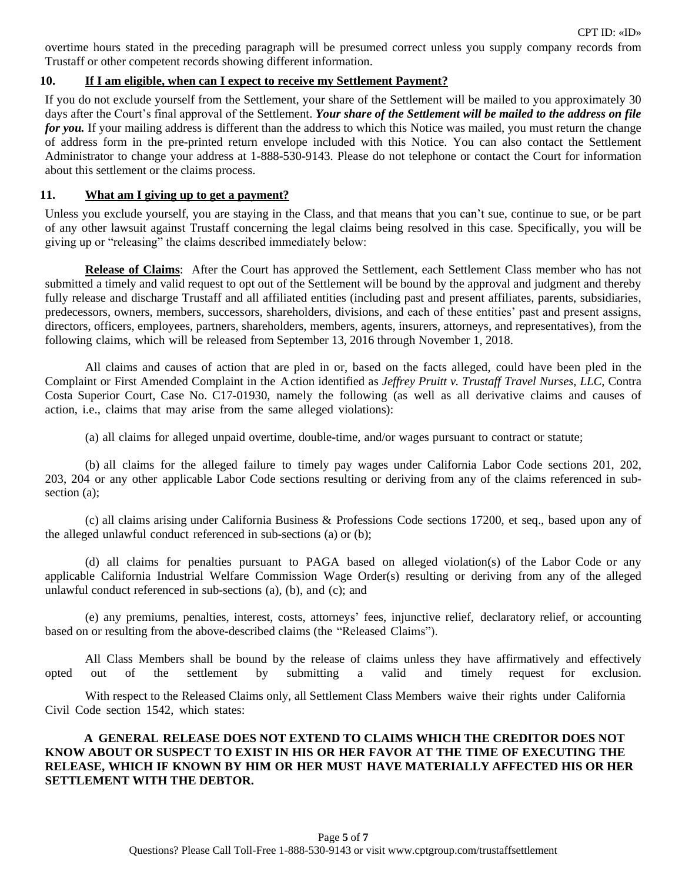overtime hours stated in the preceding paragraph will be presumed correct unless you supply company records from Trustaff or other competent records showing different information.

## **10. If I am eligible, when can I expect to receive my Settlement Payment?**

If you do not exclude yourself from the Settlement, your share of the Settlement will be mailed to you approximately 30 days after the Court's final approval of the Settlement. *Your share of the Settlement will be mailed to the address on file for you*. If your mailing address is different than the address to which this Notice was mailed, you must return the change of address form in the pre-printed return envelope included with this Notice. You can also contact the Settlement Administrator to change your address at 1-888-530-9143. Please do not telephone or contact the Court for information about this settlement or the claims process.

## **11. What am I giving up to get a payment?**

Unless you exclude yourself, you are staying in the Class, and that means that you can't sue, continue to sue, or be part of any other lawsuit against Trustaff concerning the legal claims being resolved in this case. Specifically, you will be giving up or "releasing" the claims described immediately below:

**Release of Claims**: After the Court has approved the Settlement, each Settlement Class member who has not submitted a timely and valid request to opt out of the Settlement will be bound by the approval and judgment and thereby fully release and discharge Trustaff and all affiliated entities (including past and present affiliates, parents, subsidiaries, predecessors, owners, members, successors, shareholders, divisions, and each of these entities' past and present assigns, directors, officers, employees, partners, shareholders, members, agents, insurers, attorneys, and representatives), from the following claims, which will be released from September 13, 2016 through November 1, 2018.

All claims and causes of action that are pled in or, based on the facts alleged, could have been pled in the Complaint or First Amended Complaint in the Action identified as *Jeffrey Pruitt v. Trustaff Travel Nurses, LLC*, Contra Costa Superior Court, Case No. C17-01930, namely the following (as well as all derivative claims and causes of action, i.e., claims that may arise from the same alleged violations):

(a) all claims for alleged unpaid overtime, double-time, and/or wages pursuant to contract or statute;

(b) all claims for the alleged failure to timely pay wages under California Labor Code sections 201, 202, 203, 204 or any other applicable Labor Code sections resulting or deriving from any of the claims referenced in subsection (a);

(c) all claims arising under California Business & Professions Code sections 17200, et seq., based upon any of the alleged unlawful conduct referenced in sub-sections (a) or (b);

(d) all claims for penalties pursuant to PAGA based on alleged violation(s) of the Labor Code or any applicable California Industrial Welfare Commission Wage Order(s) resulting or deriving from any of the alleged unlawful conduct referenced in sub-sections (a), (b), and (c); and

(e) any premiums, penalties, interest, costs, attorneys' fees, injunctive relief, declaratory relief, or accounting based on or resulting from the above-described claims (the "Released Claims").

All Class Members shall be bound by the release of claims unless they have affirmatively and effectively opted out of the settlement by submitting a valid and timely request for exclusion.

With respect to the Released Claims only, all Settlement Class Members waive their rights under California Civil Code section 1542, which states:

## **A GENERAL RELEASE DOES NOT EXTEND TO CLAIMS WHICH THE CREDITOR DOES NOT KNOW ABOUT OR SUSPECT TO EXIST IN HIS OR HER FAVOR AT THE TIME OF EXECUTING THE RELEASE, WHICH IF KNOWN BY HIM OR HER MUST HAVE MATERIALLY AFFECTED HIS OR HER SETTLEMENT WITH THE DEBTOR.**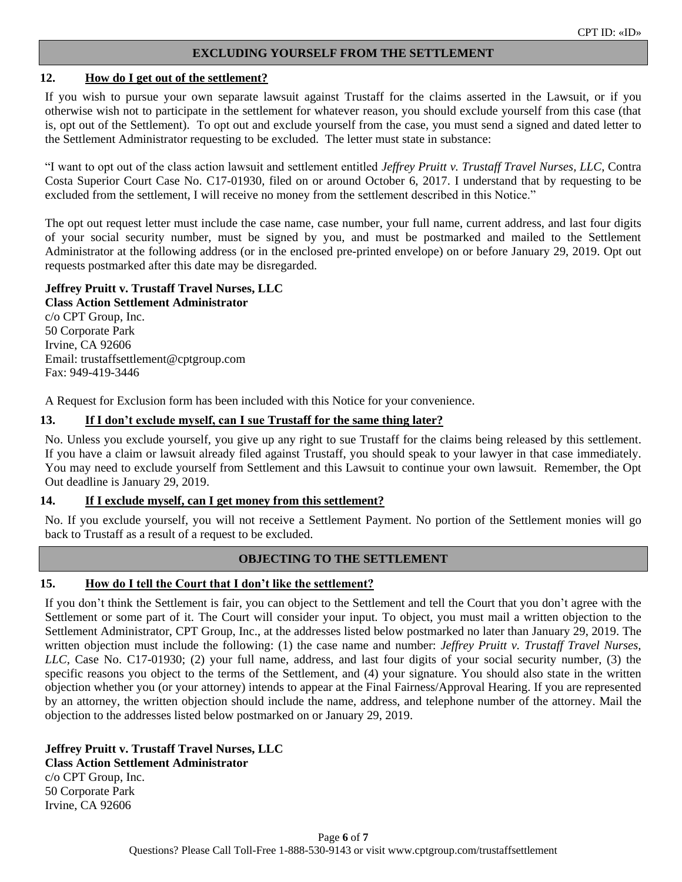## **EXCLUDING YOURSELF FROM THE SETTLEMENT**

#### **12. How do I get out of the settlement?**

If you wish to pursue your own separate lawsuit against Trustaff for the claims asserted in the Lawsuit, or if you otherwise wish not to participate in the settlement for whatever reason, you should exclude yourself from this case (that is, opt out of the Settlement). To opt out and exclude yourself from the case, you must send a signed and dated letter to the Settlement Administrator requesting to be excluded. The letter must state in substance:

"I want to opt out of the class action lawsuit and settlement entitled *Jeffrey Pruitt v. Trustaff Travel Nurses, LLC*, Contra Costa Superior Court Case No. C17-01930, filed on or around October 6, 2017. I understand that by requesting to be excluded from the settlement, I will receive no money from the settlement described in this Notice."

The opt out request letter must include the case name, case number, your full name, current address, and last four digits of your social security number, must be signed by you, and must be postmarked and mailed to the Settlement Administrator at the following address (or in the enclosed pre-printed envelope) on or before January 29, 2019. Opt out requests postmarked after this date may be disregarded.

## **Jeffrey Pruitt v. Trustaff Travel Nurses, LLC**

**Class Action Settlement Administrator** c/o CPT Group, Inc. 50 Corporate Park Irvine, CA 92606 Email: trustaffsettlement@cptgroup.com Fax: 949-419-3446

A Request for Exclusion form has been included with this Notice for your convenience.

## **13. If I don't exclude myself, can I sue Trustaff for the same thing later?**

No. Unless you exclude yourself, you give up any right to sue Trustaff for the claims being released by this settlement. If you have a claim or lawsuit already filed against Trustaff, you should speak to your lawyer in that case immediately. You may need to exclude yourself from Settlement and this Lawsuit to continue your own lawsuit. Remember, the Opt Out deadline is January 29, 2019.

## **14. If I exclude myself, can I get money from this settlement?**

No. If you exclude yourself, you will not receive a Settlement Payment. No portion of the Settlement monies will go back to Trustaff as a result of a request to be excluded.

## **OBJECTING TO THE SETTLEMENT**

## **15. How do I tell the Court that I don't like the settlement?**

If you don't think the Settlement is fair, you can object to the Settlement and tell the Court that you don't agree with the Settlement or some part of it. The Court will consider your input. To object, you must mail a written objection to the Settlement Administrator, CPT Group, Inc., at the addresses listed below postmarked no later than January 29, 2019. The written objection must include the following: (1) the case name and number: *Jeffrey Pruitt v. Trustaff Travel Nurses, LLC*, Case No. C17-01930; (2) your full name, address, and last four digits of your social security number, (3) the specific reasons you object to the terms of the Settlement, and (4) your signature. You should also state in the written objection whether you (or your attorney) intends to appear at the Final Fairness/Approval Hearing. If you are represented by an attorney, the written objection should include the name, address, and telephone number of the attorney. Mail the objection to the addresses listed below postmarked on or January 29, 2019.

**Jeffrey Pruitt v. Trustaff Travel Nurses, LLC Class Action Settlement Administrator** c/o CPT Group, Inc. 50 Corporate Park Irvine, CA 92606